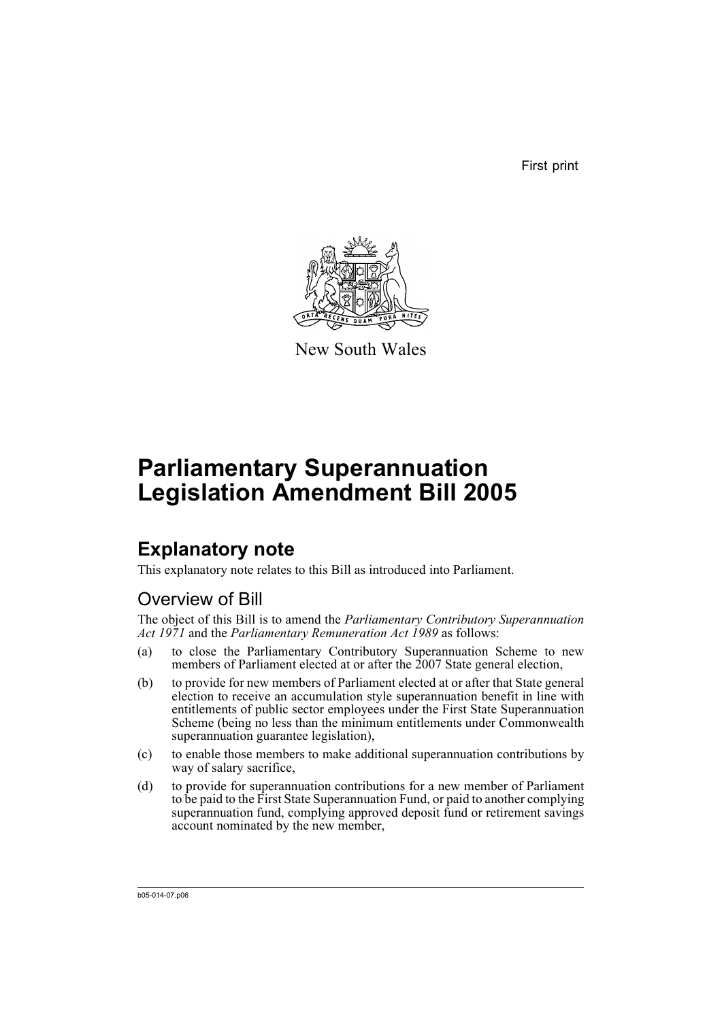First print



New South Wales

# **Parliamentary Superannuation Legislation Amendment Bill 2005**

# **Explanatory note**

This explanatory note relates to this Bill as introduced into Parliament.

# Overview of Bill

The object of this Bill is to amend the *Parliamentary Contributory Superannuation Act 1971* and the *Parliamentary Remuneration Act 1989* as follows:

- (a) to close the Parliamentary Contributory Superannuation Scheme to new members of Parliament elected at or after the 2007 State general election,
- (b) to provide for new members of Parliament elected at or after that State general election to receive an accumulation style superannuation benefit in line with entitlements of public sector employees under the First State Superannuation Scheme (being no less than the minimum entitlements under Commonwealth superannuation guarantee legislation),
- (c) to enable those members to make additional superannuation contributions by way of salary sacrifice,
- (d) to provide for superannuation contributions for a new member of Parliament to be paid to the First State Superannuation Fund, or paid to another complying superannuation fund, complying approved deposit fund or retirement savings account nominated by the new member,

b05-014-07.p06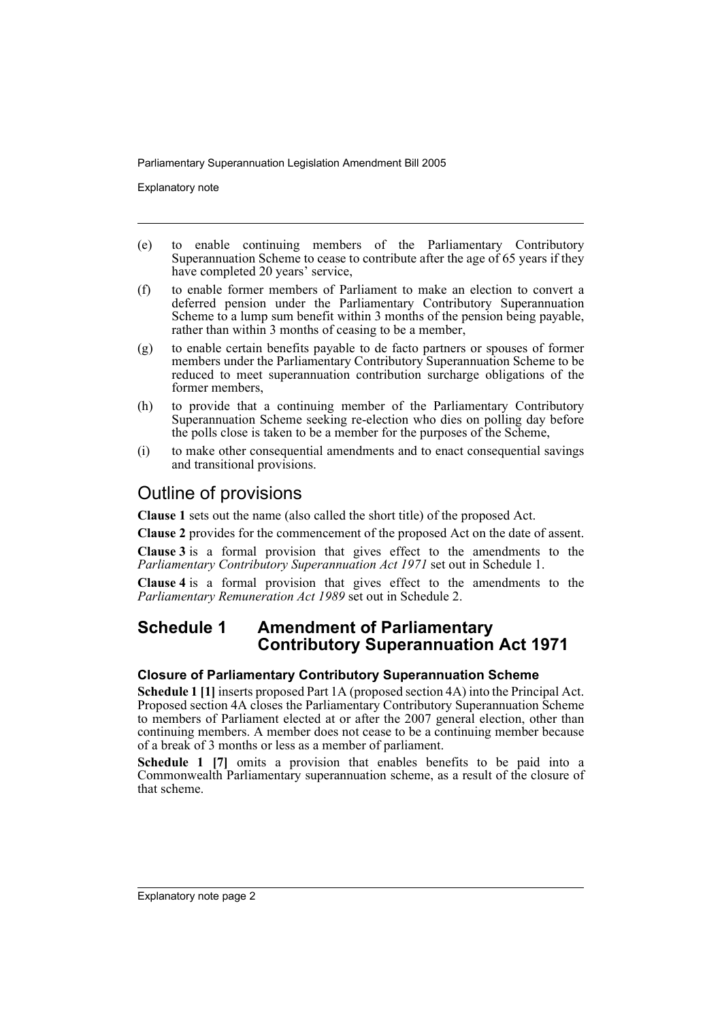Explanatory note

- (e) to enable continuing members of the Parliamentary Contributory Superannuation Scheme to cease to contribute after the age of 65 years if they have completed 20 years' service,
- (f) to enable former members of Parliament to make an election to convert a deferred pension under the Parliamentary Contributory Superannuation Scheme to a lump sum benefit within 3 months of the pension being payable, rather than within 3 months of ceasing to be a member,
- (g) to enable certain benefits payable to de facto partners or spouses of former members under the Parliamentary Contributory Superannuation Scheme to be reduced to meet superannuation contribution surcharge obligations of the former members,
- (h) to provide that a continuing member of the Parliamentary Contributory Superannuation Scheme seeking re-election who dies on polling day before the polls close is taken to be a member for the purposes of the Scheme,
- (i) to make other consequential amendments and to enact consequential savings and transitional provisions.

## Outline of provisions

**Clause 1** sets out the name (also called the short title) of the proposed Act.

**Clause 2** provides for the commencement of the proposed Act on the date of assent.

**Clause 3** is a formal provision that gives effect to the amendments to the *Parliamentary Contributory Superannuation Act 1971* set out in Schedule 1.

**Clause 4** is a formal provision that gives effect to the amendments to the *Parliamentary Remuneration Act 1989* set out in Schedule 2.

### **Schedule 1 Amendment of Parliamentary Contributory Superannuation Act 1971**

### **Closure of Parliamentary Contributory Superannuation Scheme**

**Schedule 1 [1]** inserts proposed Part 1A (proposed section 4A) into the Principal Act. Proposed section 4A closes the Parliamentary Contributory Superannuation Scheme to members of Parliament elected at or after the 2007 general election, other than continuing members. A member does not cease to be a continuing member because of a break of 3 months or less as a member of parliament.

**Schedule 1 [7]** omits a provision that enables benefits to be paid into a Commonwealth Parliamentary superannuation scheme, as a result of the closure of that scheme.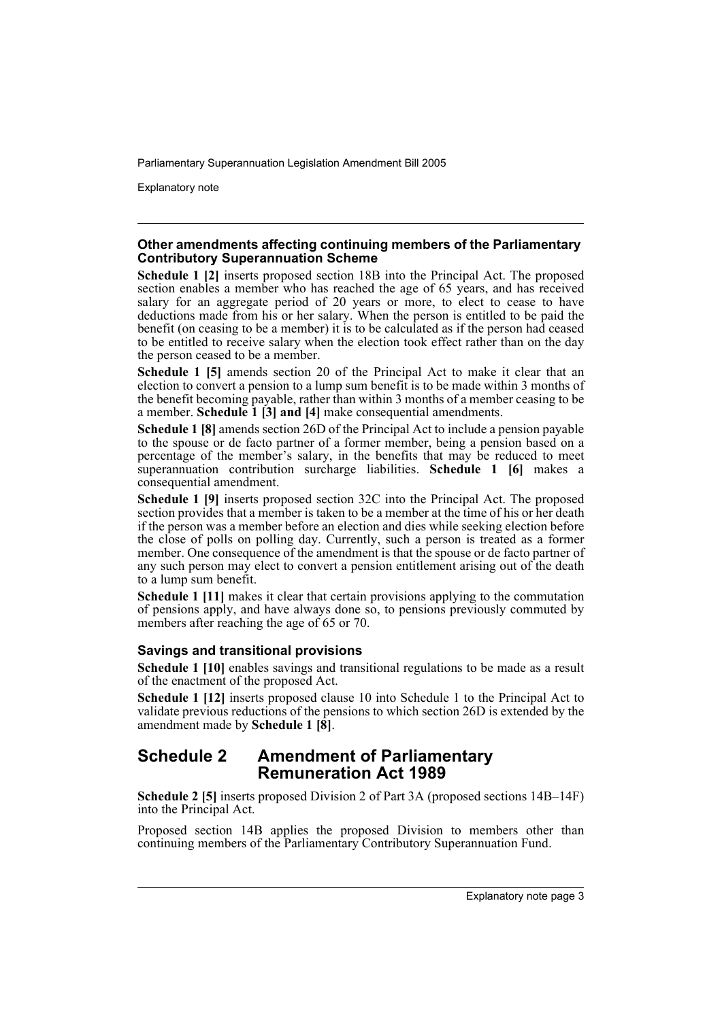Explanatory note

### **Other amendments affecting continuing members of the Parliamentary Contributory Superannuation Scheme**

**Schedule 1 [2]** inserts proposed section 18B into the Principal Act. The proposed section enables a member who has reached the age of 65 years, and has received salary for an aggregate period of 20 years or more, to elect to cease to have deductions made from his or her salary. When the person is entitled to be paid the benefit (on ceasing to be a member) it is to be calculated as if the person had ceased to be entitled to receive salary when the election took effect rather than on the day the person ceased to be a member.

**Schedule 1 [5]** amends section 20 of the Principal Act to make it clear that an election to convert a pension to a lump sum benefit is to be made within 3 months of the benefit becoming payable, rather than within 3 months of a member ceasing to be a member. **Schedule 1 [3] and [4]** make consequential amendments.

**Schedule 1 [8]** amends section 26D of the Principal Act to include a pension payable to the spouse or de facto partner of a former member, being a pension based on a percentage of the member's salary, in the benefits that may be reduced to meet superannuation contribution surcharge liabilities. **Schedule 1 [6]** makes a consequential amendment.

**Schedule 1 [9]** inserts proposed section 32C into the Principal Act. The proposed section provides that a member is taken to be a member at the time of his or her death if the person was a member before an election and dies while seeking election before the close of polls on polling day. Currently, such a person is treated as a former member. One consequence of the amendment is that the spouse or de facto partner of any such person may elect to convert a pension entitlement arising out of the death to a lump sum benefit.

**Schedule 1 [11]** makes it clear that certain provisions applying to the commutation of pensions apply, and have always done so, to pensions previously commuted by members after reaching the age of 65 or 70.

### **Savings and transitional provisions**

**Schedule 1 [10]** enables savings and transitional regulations to be made as a result of the enactment of the proposed Act.

**Schedule 1 [12]** inserts proposed clause 10 into Schedule 1 to the Principal Act to validate previous reductions of the pensions to which section 26D is extended by the amendment made by **Schedule 1 [8]**.

### **Schedule 2 Amendment of Parliamentary Remuneration Act 1989**

**Schedule 2 [5]** inserts proposed Division 2 of Part 3A (proposed sections 14B–14F) into the Principal Act.

Proposed section 14B applies the proposed Division to members other than continuing members of the Parliamentary Contributory Superannuation Fund.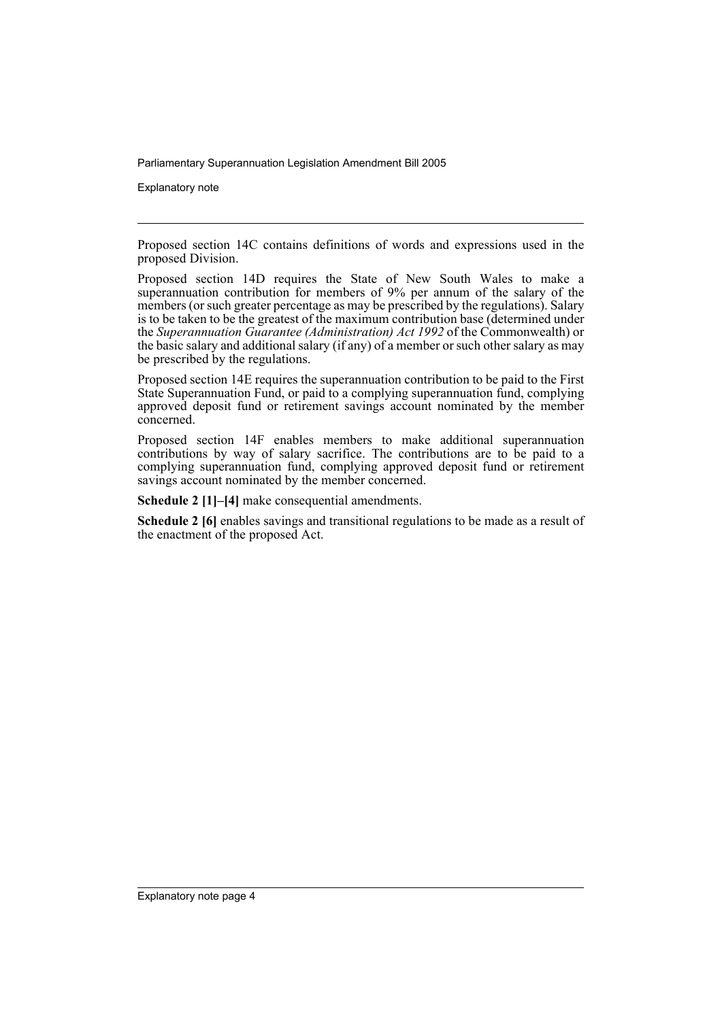Explanatory note

Proposed section 14C contains definitions of words and expressions used in the proposed Division.

Proposed section 14D requires the State of New South Wales to make a superannuation contribution for members of 9% per annum of the salary of the members (or such greater percentage as may be prescribed by the regulations). Salary is to be taken to be the greatest of the maximum contribution base (determined under the *Superannuation Guarantee (Administration) Act 1992* of the Commonwealth) or the basic salary and additional salary (if any) of a member or such other salary as may be prescribed by the regulations.

Proposed section 14E requires the superannuation contribution to be paid to the First State Superannuation Fund, or paid to a complying superannuation fund, complying approved deposit fund or retirement savings account nominated by the member concerned.

Proposed section 14F enables members to make additional superannuation contributions by way of salary sacrifice. The contributions are to be paid to a complying superannuation fund, complying approved deposit fund or retirement savings account nominated by the member concerned.

**Schedule 2 [1]–[4]** make consequential amendments.

**Schedule 2 [6]** enables savings and transitional regulations to be made as a result of the enactment of the proposed Act.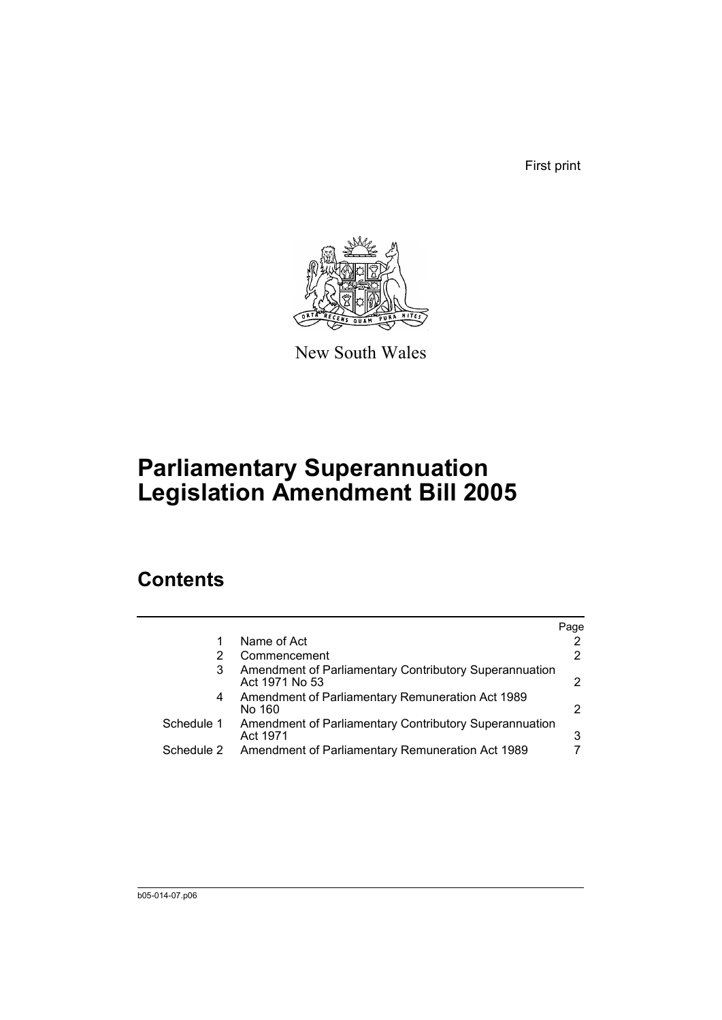First print



New South Wales

# **Parliamentary Superannuation Legislation Amendment Bill 2005**

# **Contents**

|            |                                                                          | Page          |
|------------|--------------------------------------------------------------------------|---------------|
|            | Name of Act                                                              |               |
|            | Commencement                                                             | 2             |
| 3          | Amendment of Parliamentary Contributory Superannuation<br>Act 1971 No 53 | $\mathcal{P}$ |
| 4          | Amendment of Parliamentary Remuneration Act 1989<br>No 160               | 2             |
| Schedule 1 | Amendment of Parliamentary Contributory Superannuation<br>Act 1971       | 3             |
| Schedule 2 | Amendment of Parliamentary Remuneration Act 1989                         |               |
|            |                                                                          |               |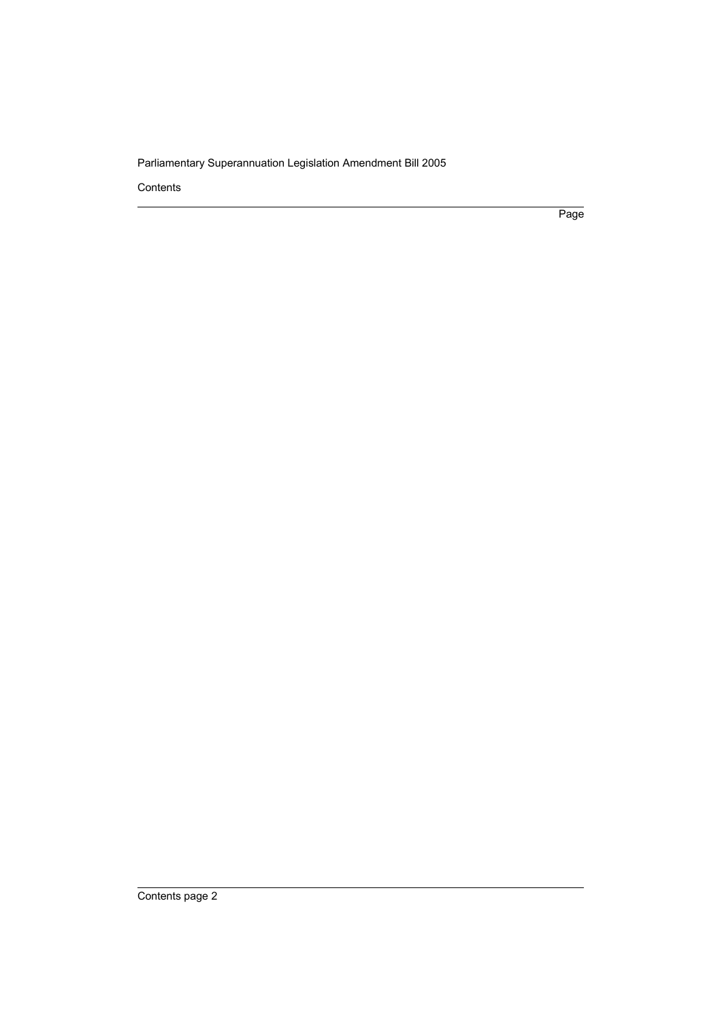Contents

Page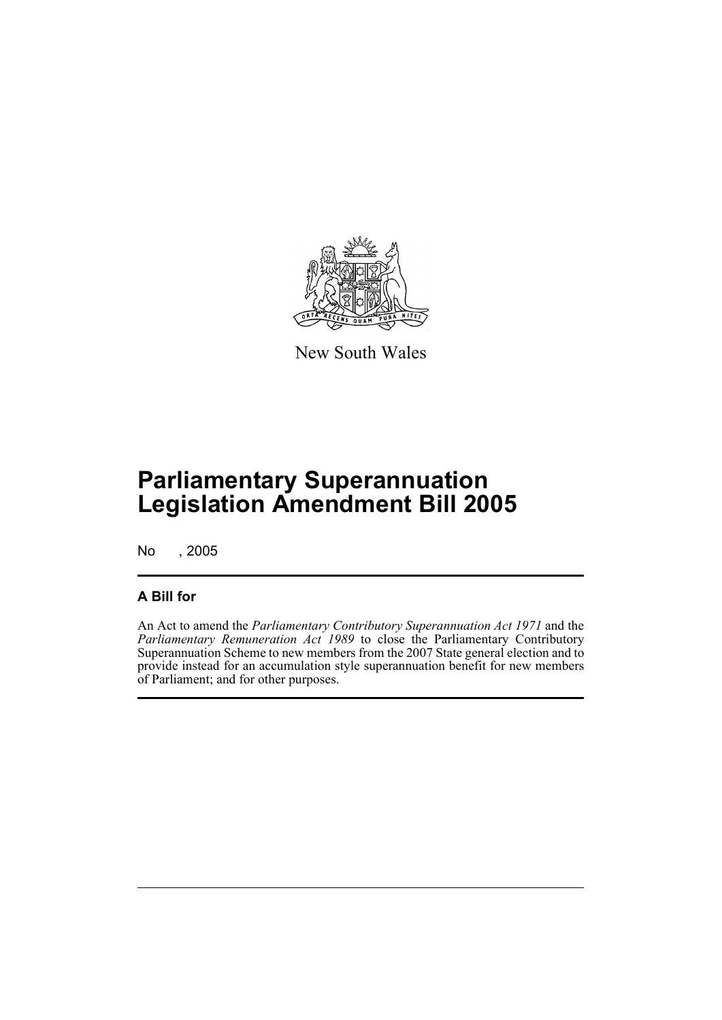

New South Wales

# **Parliamentary Superannuation Legislation Amendment Bill 2005**

No , 2005

### **A Bill for**

An Act to amend the *Parliamentary Contributory Superannuation Act 1971* and the *Parliamentary Remuneration Act 1989* to close the Parliamentary Contributory Superannuation Scheme to new members from the 2007 State general election and to provide instead for an accumulation style superannuation benefit for new members of Parliament; and for other purposes.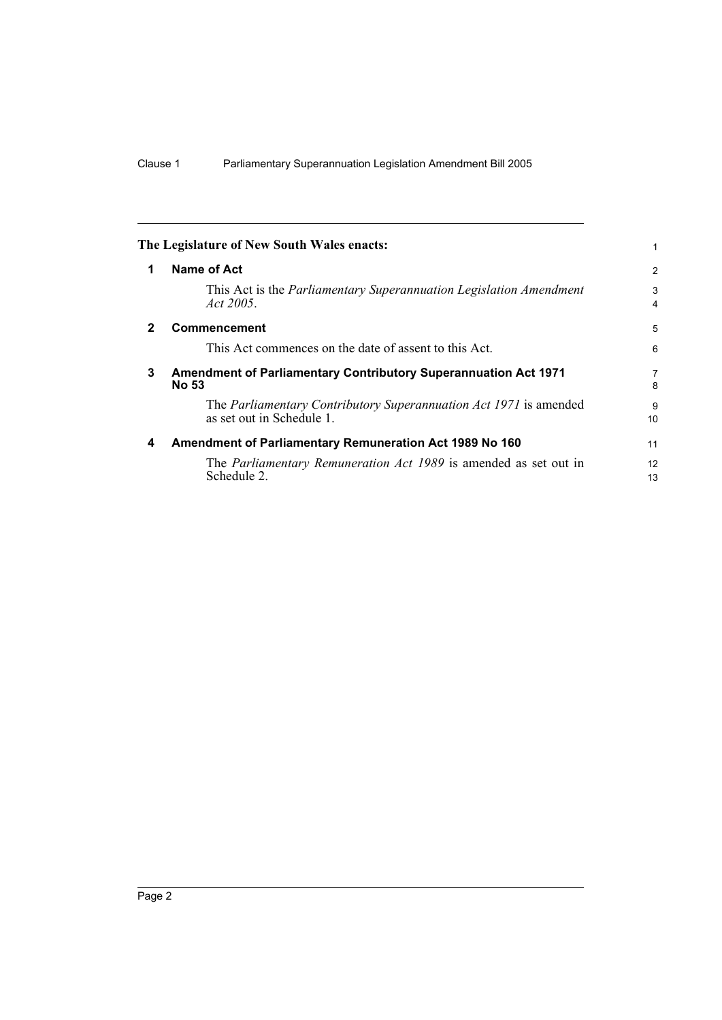|              | The Legislature of New South Wales enacts:                                                     |          |
|--------------|------------------------------------------------------------------------------------------------|----------|
| 1            | Name of Act                                                                                    | 2        |
|              | This Act is the <i>Parliamentary Superannuation Legislation Amendment</i><br>Act 2005.         | 3<br>4   |
| $\mathbf{2}$ | <b>Commencement</b>                                                                            | 5        |
|              | This Act commences on the date of assent to this Act.                                          | 6        |
| 3            | <b>Amendment of Parliamentary Contributory Superannuation Act 1971</b><br><b>No 53</b>         | 7<br>8   |
|              | The Parliamentary Contributory Superannuation Act 1971 is amended<br>as set out in Schedule 1. | 9<br>10  |
| 4            | Amendment of Parliamentary Remuneration Act 1989 No 160                                        | 11       |
|              | The <i>Parliamentary Remuneration Act 1989</i> is amended as set out in<br>Schedule 2.         | 12<br>13 |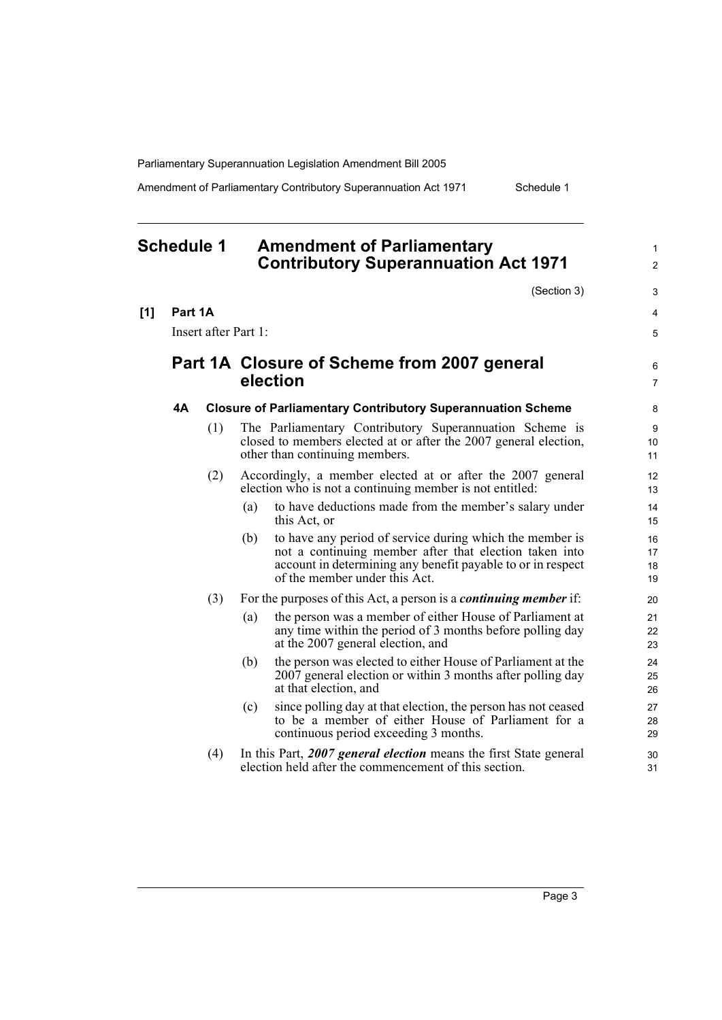Amendment of Parliamentary Contributory Superannuation Act 1971 Schedule 1

1  $\overline{2}$ 

3 4 5

6 7

## **Schedule 1 Amendment of Parliamentary Contributory Superannuation Act 1971** (Section 3) **[1] Part 1A** Insert after Part 1: **Part 1A Closure of Scheme from 2007 general election 4A Closure of Parliamentary Contributory Superannuation Scheme** (1) The Parliamentary Contributory Superannuation Scheme is closed to members elected at or after the 2007 general election, other than continuing members. (2) Accordingly, a member elected at or after the 2007 general election who is not a continuing member is not entitled: (a) to have deductions made from the member's salary under this Act, or (b) to have any period of service during which the member is not a continuing member after that election taken into account in determining any benefit payable to or in respect of the member under this Act. (3) For the purposes of this Act, a person is a *continuing member* if: (a) the person was a member of either House of Parliament at any time within the period of 3 months before polling day at the 2007 general election, and (b) the person was elected to either House of Parliament at the 2007 general election or within 3 months after polling day at that election, and (c) since polling day at that election, the person has not ceased to be a member of either House of Parliament for a continuous period exceeding 3 months. (4) In this Part, *2007 general election* means the first State general election held after the commencement of this section.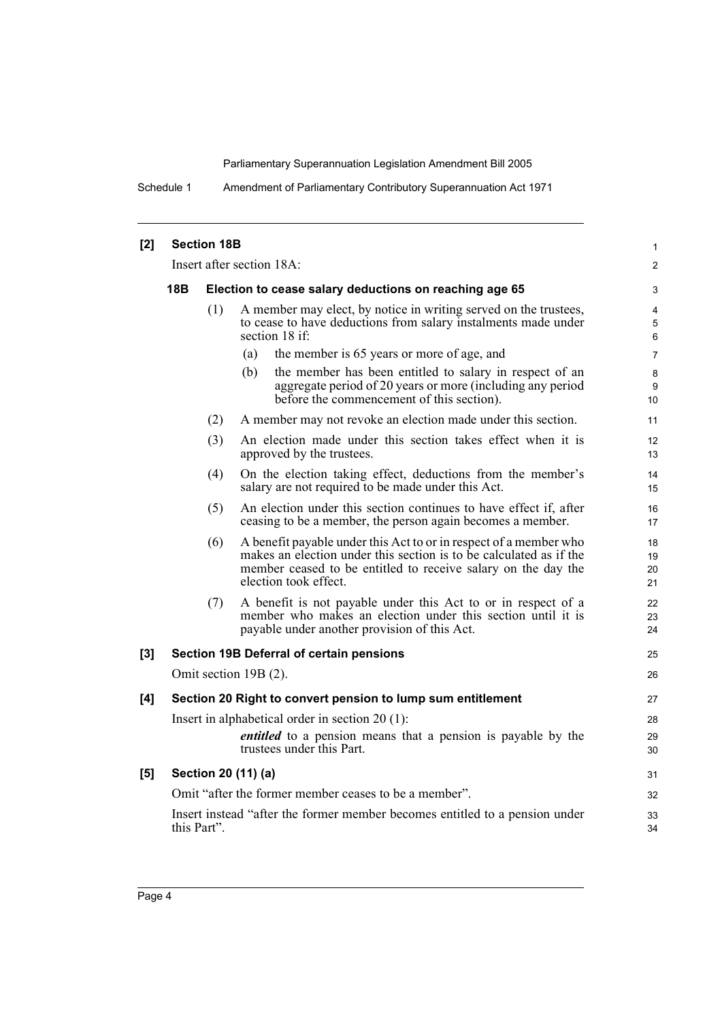Schedule 1 Amendment of Parliamentary Contributory Superannuation Act 1971

| [2] | <b>Section 18B</b>                                                                              |             |                                                                                                                                                                                                                                   |                      |  |
|-----|-------------------------------------------------------------------------------------------------|-------------|-----------------------------------------------------------------------------------------------------------------------------------------------------------------------------------------------------------------------------------|----------------------|--|
|     | Insert after section 18A:                                                                       |             |                                                                                                                                                                                                                                   |                      |  |
|     | <b>18B</b><br>Election to cease salary deductions on reaching age 65                            |             |                                                                                                                                                                                                                                   |                      |  |
|     | (1)                                                                                             |             | A member may elect, by notice in writing served on the trustees,<br>to cease to have deductions from salary instalments made under<br>section 18 if:                                                                              |                      |  |
|     |                                                                                                 |             | the member is 65 years or more of age, and<br>(a)                                                                                                                                                                                 | $\overline{7}$       |  |
|     |                                                                                                 |             | the member has been entitled to salary in respect of an<br>(b)<br>aggregate period of 20 years or more (including any period<br>before the commencement of this section).                                                         | 8<br>9<br>10         |  |
|     |                                                                                                 | (2)         | A member may not revoke an election made under this section.                                                                                                                                                                      | 11                   |  |
|     | (3)<br>An election made under this section takes effect when it is<br>approved by the trustees. |             |                                                                                                                                                                                                                                   |                      |  |
|     |                                                                                                 | (4)         | On the election taking effect, deductions from the member's<br>salary are not required to be made under this Act.                                                                                                                 | 14<br>15             |  |
|     |                                                                                                 | (5)         | An election under this section continues to have effect if, after<br>ceasing to be a member, the person again becomes a member.                                                                                                   | 16<br>17             |  |
|     |                                                                                                 | (6)         | A benefit payable under this Act to or in respect of a member who<br>makes an election under this section is to be calculated as if the<br>member ceased to be entitled to receive salary on the day the<br>election took effect. | 18<br>19<br>20<br>21 |  |
|     |                                                                                                 | (7)         | A benefit is not payable under this Act to or in respect of a<br>member who makes an election under this section until it is<br>payable under another provision of this Act.                                                      | 22<br>23<br>24       |  |
| [3] |                                                                                                 |             | Section 19B Deferral of certain pensions                                                                                                                                                                                          | 25                   |  |
|     |                                                                                                 |             | Omit section 19B (2).                                                                                                                                                                                                             | 26                   |  |
| [4] |                                                                                                 |             | Section 20 Right to convert pension to lump sum entitlement                                                                                                                                                                       | 27                   |  |
|     |                                                                                                 |             | Insert in alphabetical order in section $20(1)$ :                                                                                                                                                                                 | 28                   |  |
|     |                                                                                                 |             | <i>entitled</i> to a pension means that a pension is payable by the<br>trustees under this Part.                                                                                                                                  | 29<br>30             |  |
| [5] |                                                                                                 |             | Section 20 (11) (a)                                                                                                                                                                                                               | 31                   |  |
|     |                                                                                                 |             | Omit "after the former member ceases to be a member".                                                                                                                                                                             | 32                   |  |
|     |                                                                                                 | this Part". | Insert instead "after the former member becomes entitled to a pension under                                                                                                                                                       | 33<br>34             |  |
|     |                                                                                                 |             |                                                                                                                                                                                                                                   |                      |  |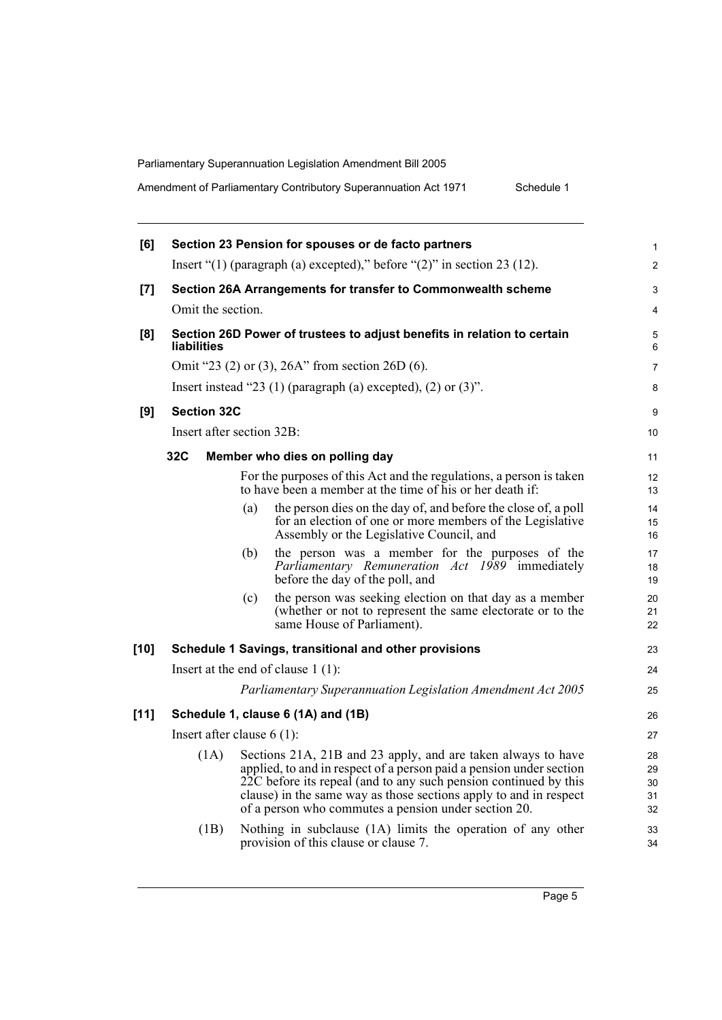|  |  | Amendment of Parliamentary Contributory Superannuation Act 1971 | Schedule 1 |
|--|--|-----------------------------------------------------------------|------------|
|--|--|-----------------------------------------------------------------|------------|

| [6]    |                              |     | Section 23 Pension for spouses or de facto partners                                                                                                                                                                                                                                                                                  | 1                          |
|--------|------------------------------|-----|--------------------------------------------------------------------------------------------------------------------------------------------------------------------------------------------------------------------------------------------------------------------------------------------------------------------------------------|----------------------------|
|        |                              |     | Insert " $(1)$ (paragraph (a) excepted)," before " $(2)$ " in section 23 (12).                                                                                                                                                                                                                                                       | 2                          |
| [7]    |                              |     | Section 26A Arrangements for transfer to Commonwealth scheme                                                                                                                                                                                                                                                                         | 3                          |
|        | Omit the section.            |     |                                                                                                                                                                                                                                                                                                                                      | 4                          |
| [8]    | <b>liabilities</b>           |     | Section 26D Power of trustees to adjust benefits in relation to certain                                                                                                                                                                                                                                                              | 5<br>6                     |
|        |                              |     | Omit "23 (2) or (3), 26A" from section 26D (6).                                                                                                                                                                                                                                                                                      | 7                          |
|        |                              |     | Insert instead "23 (1) (paragraph (a) excepted), (2) or $(3)$ ".                                                                                                                                                                                                                                                                     | 8                          |
| [9]    | <b>Section 32C</b>           |     |                                                                                                                                                                                                                                                                                                                                      | 9                          |
|        | Insert after section 32B:    |     |                                                                                                                                                                                                                                                                                                                                      | 10                         |
|        | 32C                          |     | Member who dies on polling day                                                                                                                                                                                                                                                                                                       | 11                         |
|        |                              |     | For the purposes of this Act and the regulations, a person is taken<br>to have been a member at the time of his or her death if:                                                                                                                                                                                                     | 12<br>13                   |
|        |                              | (a) | the person dies on the day of, and before the close of, a poll<br>for an election of one or more members of the Legislative<br>Assembly or the Legislative Council, and                                                                                                                                                              | 14<br>15<br>16             |
|        |                              | (b) | the person was a member for the purposes of the<br>Parliamentary Remuneration Act 1989 immediately<br>before the day of the poll, and                                                                                                                                                                                                | 17<br>18<br>19             |
|        |                              | (c) | the person was seeking election on that day as a member<br>(whether or not to represent the same electorate or to the<br>same House of Parliament).                                                                                                                                                                                  | 20<br>21<br>22             |
| $[10]$ |                              |     | Schedule 1 Savings, transitional and other provisions                                                                                                                                                                                                                                                                                | 23                         |
|        |                              |     | Insert at the end of clause $1(1)$ :                                                                                                                                                                                                                                                                                                 | 24                         |
|        |                              |     | Parliamentary Superannuation Legislation Amendment Act 2005                                                                                                                                                                                                                                                                          | 25                         |
| [11]   |                              |     | Schedule 1, clause 6 (1A) and (1B)                                                                                                                                                                                                                                                                                                   | 26                         |
|        | Insert after clause $6(1)$ : |     |                                                                                                                                                                                                                                                                                                                                      | 27                         |
|        | (1A)                         |     | Sections 21A, 21B and 23 apply, and are taken always to have<br>applied, to and in respect of a person paid a pension under section<br>22C before its repeal (and to any such pension continued by this<br>clause) in the same way as those sections apply to and in respect<br>of a person who commutes a pension under section 20. | 28<br>29<br>30<br>31<br>32 |
|        | (1B)                         |     | Nothing in subclause (1A) limits the operation of any other<br>provision of this clause or clause 7.                                                                                                                                                                                                                                 | 33<br>34                   |
|        |                              |     |                                                                                                                                                                                                                                                                                                                                      |                            |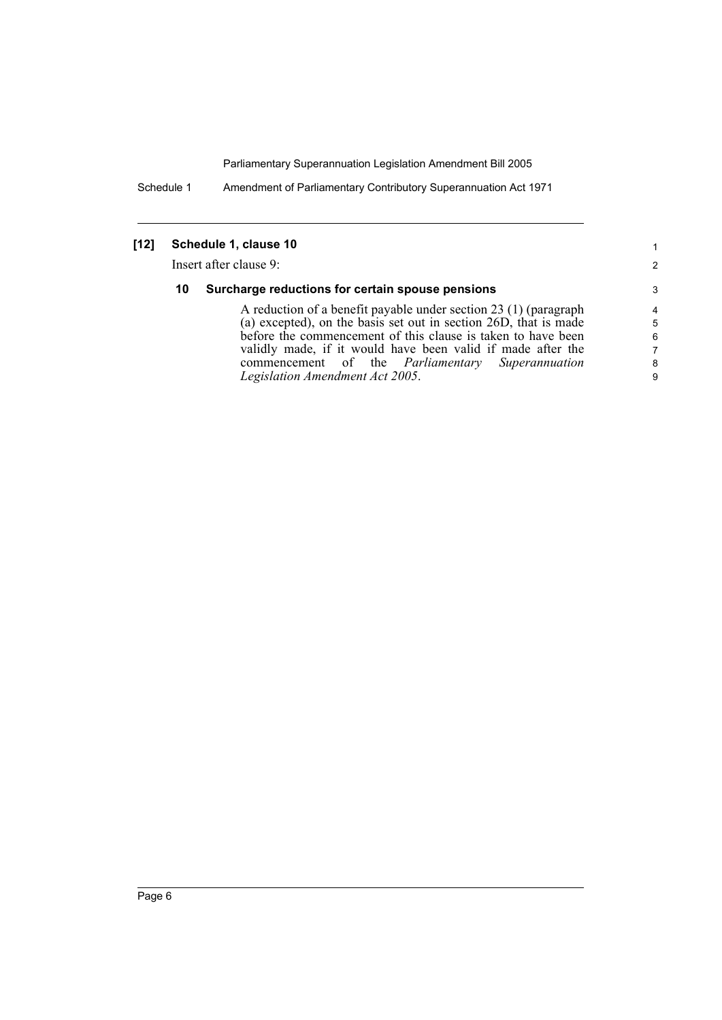Schedule 1 Amendment of Parliamentary Contributory Superannuation Act 1971

### **[12] Schedule 1, clause 10**

Insert after clause 9:

#### **10 Surcharge reductions for certain spouse pensions**

A reduction of a benefit payable under section 23 (1) (paragraph (a) excepted), on the basis set out in section 26D, that is made before the commencement of this clause is taken to have been validly made, if it would have been valid if made after the commencement of the *Parliamentary Superannuation Legislation Amendment Act 2005*.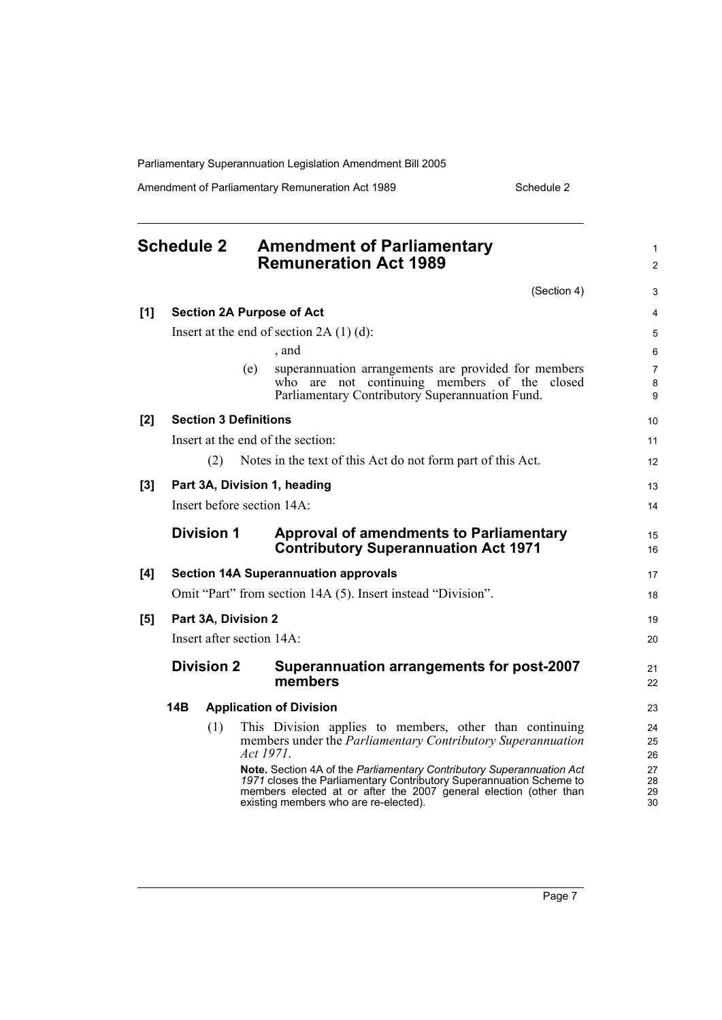Amendment of Parliamentary Remuneration Act 1989 Schedule 2

|       | <b>Schedule 2</b>            |           | <b>Amendment of Parliamentary</b><br><b>Remuneration Act 1989</b>                                                                                                                                                                                          | $\mathbf{1}$<br>$\overline{2}$ |
|-------|------------------------------|-----------|------------------------------------------------------------------------------------------------------------------------------------------------------------------------------------------------------------------------------------------------------------|--------------------------------|
|       |                              |           | (Section 4)                                                                                                                                                                                                                                                | 3                              |
| [1]   |                              |           | <b>Section 2A Purpose of Act</b>                                                                                                                                                                                                                           | $\overline{4}$                 |
|       |                              |           | Insert at the end of section $2A(1)(d)$ :                                                                                                                                                                                                                  | 5                              |
|       |                              |           | , and                                                                                                                                                                                                                                                      | 6                              |
|       |                              | (e)       | superannuation arrangements are provided for members<br>who are not continuing members of the closed<br>Parliamentary Contributory Superannuation Fund.                                                                                                    | $\overline{7}$<br>8<br>9       |
| [2]   | <b>Section 3 Definitions</b> |           |                                                                                                                                                                                                                                                            | 10                             |
|       |                              |           | Insert at the end of the section:                                                                                                                                                                                                                          | 11                             |
|       | (2)                          |           | Notes in the text of this Act do not form part of this Act.                                                                                                                                                                                                | 12                             |
| $[3]$ |                              |           | Part 3A, Division 1, heading                                                                                                                                                                                                                               | 13                             |
|       | Insert before section 14A:   |           |                                                                                                                                                                                                                                                            | 14                             |
|       | <b>Division 1</b>            |           | <b>Approval of amendments to Parliamentary</b><br><b>Contributory Superannuation Act 1971</b>                                                                                                                                                              | 15<br>16                       |
| [4]   |                              |           | <b>Section 14A Superannuation approvals</b>                                                                                                                                                                                                                | 17                             |
|       |                              |           | Omit "Part" from section 14A (5). Insert instead "Division".                                                                                                                                                                                               | 18                             |
| [5]   | Part 3A, Division 2          |           |                                                                                                                                                                                                                                                            | 19                             |
|       | Insert after section 14A:    |           |                                                                                                                                                                                                                                                            | 20                             |
|       | <b>Division 2</b>            |           | Superannuation arrangements for post-2007<br>members                                                                                                                                                                                                       | 21<br>22                       |
|       | 14B                          |           | <b>Application of Division</b>                                                                                                                                                                                                                             | 23                             |
|       | (1)                          | Act 1971. | This Division applies to members, other than continuing<br>members under the <i>Parliamentary Contributory Superannuation</i>                                                                                                                              | 24<br>25<br>26                 |
|       |                              |           | Note. Section 4A of the Parliamentary Contributory Superannuation Act<br>1971 closes the Parliamentary Contributory Superannuation Scheme to<br>members elected at or after the 2007 general election (other than<br>existing members who are re-elected). | 27<br>28<br>29<br>30           |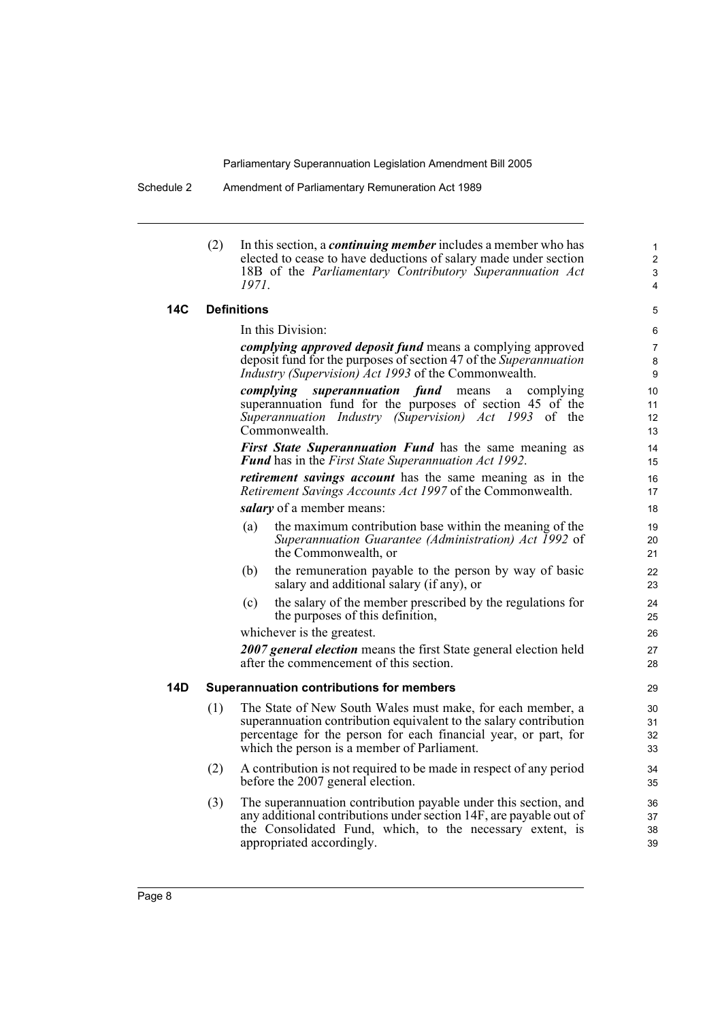(2) In this section, a *continuing member* includes a member who has elected to cease to have deductions of salary made under section 18B of the *Parliamentary Contributory Superannuation Act 1971*.

#### **14C Definitions**

In this Division:

*complying approved deposit fund* means a complying approved deposit fund for the purposes of section 47 of the *Superannuation Industry (Supervision) Act 1993* of the Commonwealth.

*complying superannuation fund* means a complying superannuation fund for the purposes of section 45 of the *Superannuation Industry (Supervision) Act 1993* of the Commonwealth.

*First State Superannuation Fund* has the same meaning as *Fund* has in the *First State Superannuation Act 1992*.

*retirement savings account* has the same meaning as in the *Retirement Savings Accounts Act 1997* of the Commonwealth.

*salary* of a member means:

- (a) the maximum contribution base within the meaning of the *Superannuation Guarantee (Administration) Act 1992* of the Commonwealth, or
- (b) the remuneration payable to the person by way of basic salary and additional salary (if any), or
- (c) the salary of the member prescribed by the regulations for the purposes of this definition,

whichever is the greatest.

*2007 general election* means the first State general election held after the commencement of this section.

#### **14D Superannuation contributions for members**

- (1) The State of New South Wales must make, for each member, a superannuation contribution equivalent to the salary contribution percentage for the person for each financial year, or part, for which the person is a member of Parliament.
- (2) A contribution is not required to be made in respect of any period before the 2007 general election.
- (3) The superannuation contribution payable under this section, and any additional contributions under section 14F, are payable out of the Consolidated Fund, which, to the necessary extent, is appropriated accordingly.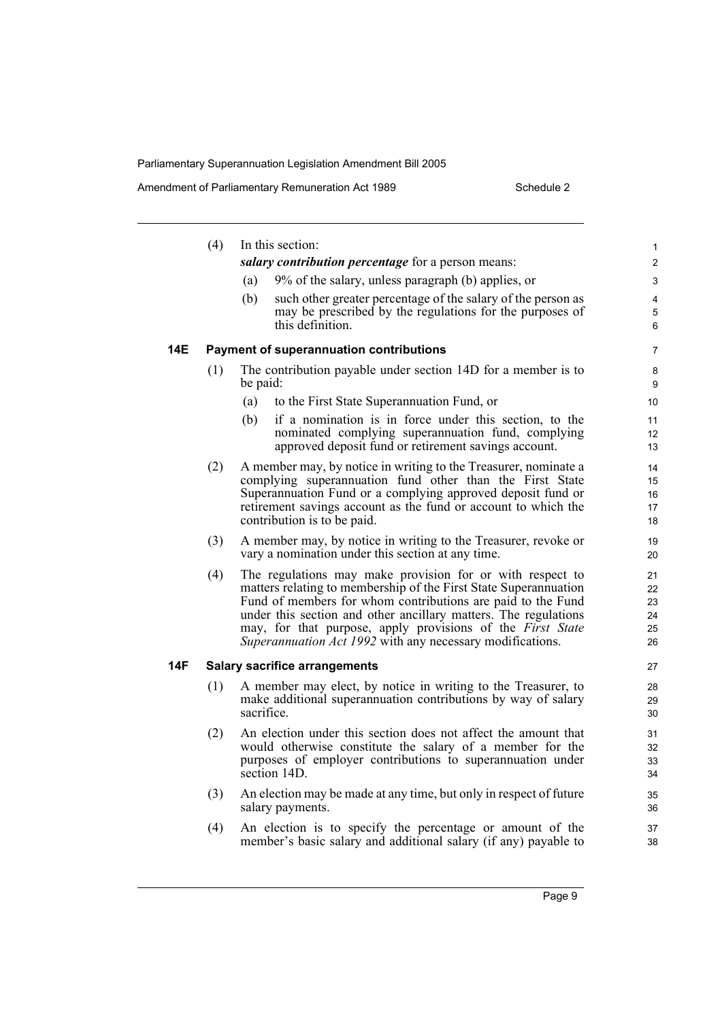|     | (4) | In this section:                                                                                                                                                                                                                                                                                                                                                                           | 1                                |
|-----|-----|--------------------------------------------------------------------------------------------------------------------------------------------------------------------------------------------------------------------------------------------------------------------------------------------------------------------------------------------------------------------------------------------|----------------------------------|
|     |     | salary contribution percentage for a person means:                                                                                                                                                                                                                                                                                                                                         | $\overline{2}$                   |
|     |     | 9% of the salary, unless paragraph (b) applies, or<br>(a)                                                                                                                                                                                                                                                                                                                                  | 3                                |
|     |     | such other greater percentage of the salary of the person as<br>(b)<br>may be prescribed by the regulations for the purposes of<br>this definition.                                                                                                                                                                                                                                        | $\overline{4}$<br>5<br>6         |
| 14E |     | <b>Payment of superannuation contributions</b>                                                                                                                                                                                                                                                                                                                                             | 7                                |
|     | (1) | The contribution payable under section 14D for a member is to<br>be paid:                                                                                                                                                                                                                                                                                                                  | 8<br>9                           |
|     |     | to the First State Superannuation Fund, or<br>(a)                                                                                                                                                                                                                                                                                                                                          | 10                               |
|     |     | if a nomination is in force under this section, to the<br>(b)<br>nominated complying superannuation fund, complying<br>approved deposit fund or retirement savings account.                                                                                                                                                                                                                | 11<br>12<br>13                   |
|     | (2) | A member may, by notice in writing to the Treasurer, nominate a<br>complying superannuation fund other than the First State<br>Superannuation Fund or a complying approved deposit fund or<br>retirement savings account as the fund or account to which the<br>contribution is to be paid.                                                                                                | 14<br>15<br>16<br>17<br>18       |
|     | (3) | A member may, by notice in writing to the Treasurer, revoke or<br>vary a nomination under this section at any time.                                                                                                                                                                                                                                                                        | 19<br>20                         |
|     | (4) | The regulations may make provision for or with respect to<br>matters relating to membership of the First State Superannuation<br>Fund of members for whom contributions are paid to the Fund<br>under this section and other ancillary matters. The regulations<br>may, for that purpose, apply provisions of the First State<br>Superannuation Act 1992 with any necessary modifications. | 21<br>22<br>23<br>24<br>25<br>26 |
| 14F |     | <b>Salary sacrifice arrangements</b>                                                                                                                                                                                                                                                                                                                                                       | 27                               |
|     | (1) | A member may elect, by notice in writing to the Treasurer, to<br>make additional superannuation contributions by way of salary<br>sacrifice.                                                                                                                                                                                                                                               | 28<br>29<br>30                   |
|     | (2) | An election under this section does not affect the amount that<br>would otherwise constitute the salary of a member for the<br>purposes of employer contributions to superannuation under<br>section 14D.                                                                                                                                                                                  | 31<br>32<br>33<br>34             |
|     | (3) | An election may be made at any time, but only in respect of future<br>salary payments.                                                                                                                                                                                                                                                                                                     | 35<br>36                         |
|     | (4) | An election is to specify the percentage or amount of the<br>member's basic salary and additional salary (if any) payable to                                                                                                                                                                                                                                                               | 37<br>38                         |
|     |     |                                                                                                                                                                                                                                                                                                                                                                                            |                                  |